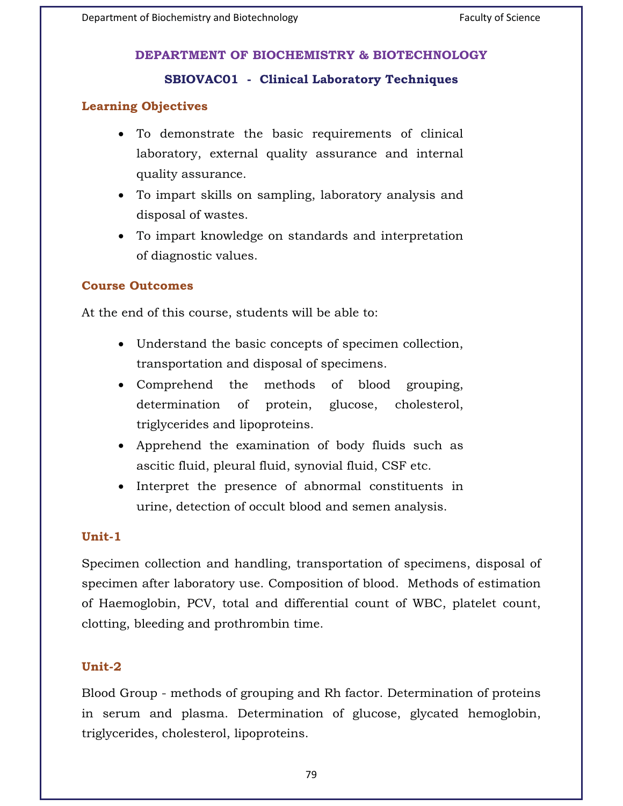# **SBIOVAC01 - Clinical Laboratory Techniques**

# **Learning Objectives**

- To demonstrate the basic requirements of clinical laboratory, external quality assurance and internal quality assurance.
- To impart skills on sampling, laboratory analysis and disposal of wastes.
- To impart knowledge on standards and interpretation of diagnostic values.

## **Course Outcomes**

At the end of this course, students will be able to:

- Understand the basic concepts of specimen collection, transportation and disposal of specimens.
- Comprehend the methods of blood grouping, determination of protein, glucose, cholesterol, triglycerides and lipoproteins.
- Apprehend the examination of body fluids such as ascitic fluid, pleural fluid, synovial fluid, CSF etc.
- Interpret the presence of abnormal constituents in urine, detection of occult blood and semen analysis.

## Unit-1

Specimen collection and handling, transportation of specimens, disposal of specimen after laboratory use. Composition of blood. Methods of estimation of Haemoglobin, PCV, total and differential count of WBC, platelet count, clotting, bleeding and prothrombin time.

### Unit-2 **Unit-2**

Blood Group - methods of grouping and Rh factor. Determination of proteins in serum and plasma. Determination of glucose, glycated hemoglobin, triglycerides, cholesterol, lipoproteins.